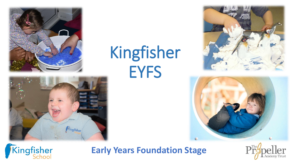

# Kingfisher EYFS









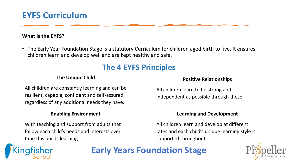### **EYFS Curriculum**

### **What is the EYFS?**

• The Early Year Foundation Stage is a statutory Curriculum for children aged birth to five. It ensures children learn and develop well and are kept healthy and safe.

### **The 4 EYFS Principles**

#### **The Unique Child**

All children are constantly learning and can be resilient, capable, confident and self-assured regardless of any additional needs they have.

#### **Enabling Environment**

With teaching and support from adults that follow each child's needs and interests over time this builds learning

#### **Positive Relationships**

All children learn to be strong and independent as possible through these.

#### **Learning and Development**

All children learn and develop at different rates and each child's unique learning style is supported throughout.

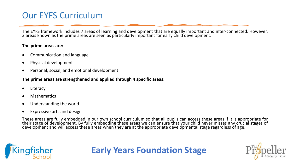### Our EYFS Curriculum

The EYFS framework includes 7 areas of learning and development that are equally important and inter-connected. However, 3 areas known as the prime areas are seen as particularly important for early child development.

#### **The prime areas are:**

- Communication and language
- Physical development
- Personal, social, and emotional development

#### **The prime areas are strengthened and applied through 4 specific areas:**

- **Literacy**
- **Mathematics**
- Understanding the world
- Expressive arts and design

These areas are fully embedded in our own school curriculum so that all pupils can access these areas if it is appropriate for their stage of development. By fully embedding these areas we can ensure that your child never misses any crucial stages of development and will access these areas when they are at the appropriate developmental stage regardless of age.

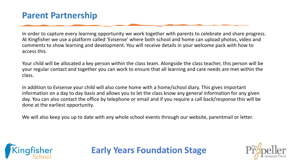### **Parent Partnership**

In order to capture every learning opportunity we work together with parents to celebrate and share progress. At Kingfisher we use a platform called 'Evisense' where both school and home can upload photos, video and comments to show learning and development. You will receive details in your welcome pack with how to access this.

Your child will be allocated a key person within the class team. Alongside the class teacher, this person will be your regular contact and together you can work to ensure that all learning and care needs are met within the class.

In addition to Evisense your child will also come home with a home/school diary. This gives important information on a day to day basis and allows you to let the class know any general information for any given day. You can also contact the office by telephone or email and if you require a call back/response this will be done at the earliest opportunity.

We will also keep you up to date with any whole school events through our website, parentmail or letter.



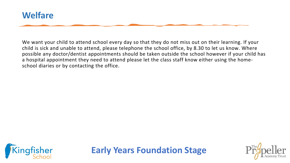

We want your child to attend school every day so that they do not miss out on their learning. If your child is sick and unable to attend, please telephone the school office, by 8.30 to let us know. Where possible any doctor/dentist appointments should be taken outside the school however if your child has a hospital appointment they need to attend please let the class staff know either using the homeschool diaries or by contacting the office.